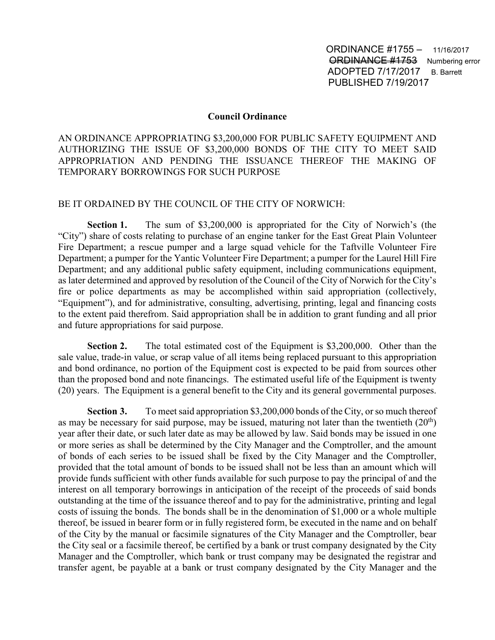ORDINANCE #1755 – 11/16/2017 **ORDINANCE #1753** Numbering error ADOPTED 7/17/2017 B. Barrett PUBLISHED 7/19/2017

## **Council Ordinance**

AN ORDINANCE APPROPRIATING \$3,200,000 FOR PUBLIC SAFETY EQUIPMENT AND AUTHORIZING THE ISSUE OF \$3,200,000 BONDS OF THE CITY TO MEET SAID APPROPRIATION AND PENDING THE ISSUANCE THEREOF THE MAKING OF TEMPORARY BORROWINGS FOR SUCH PURPOSE

## BE IT ORDAINED BY THE COUNCIL OF THE CITY OF NORWICH:

**Section 1.** The sum of \$3,200,000 is appropriated for the City of Norwich's (the "City") share of costs relating to purchase of an engine tanker for the East Great Plain Volunteer Fire Department; a rescue pumper and a large squad vehicle for the Taftville Volunteer Fire Department; a pumper for the Yantic Volunteer Fire Department; a pumper for the Laurel Hill Fire Department; and any additional public safety equipment, including communications equipment, as later determined and approved by resolution of the Council of the City of Norwich for the City's fire or police departments as may be accomplished within said appropriation (collectively, "Equipment"), and for administrative, consulting, advertising, printing, legal and financing costs to the extent paid therefrom. Said appropriation shall be in addition to grant funding and all prior and future appropriations for said purpose.

**Section 2.** The total estimated cost of the Equipment is \$3,200,000. Other than the sale value, trade-in value, or scrap value of all items being replaced pursuant to this appropriation and bond ordinance, no portion of the Equipment cost is expected to be paid from sources other than the proposed bond and note financings. The estimated useful life of the Equipment is twenty (20) years. The Equipment is a general benefit to the City and its general governmental purposes.

**Section 3.** To meet said appropriation \$3,200,000 bonds of the City, or so much thereof as may be necessary for said purpose, may be issued, maturing not later than the twentieth  $(20<sup>th</sup>)$ year after their date, or such later date as may be allowed by law. Said bonds may be issued in one or more series as shall be determined by the City Manager and the Comptroller, and the amount of bonds of each series to be issued shall be fixed by the City Manager and the Comptroller, provided that the total amount of bonds to be issued shall not be less than an amount which will provide funds sufficient with other funds available for such purpose to pay the principal of and the interest on all temporary borrowings in anticipation of the receipt of the proceeds of said bonds outstanding at the time of the issuance thereof and to pay for the administrative, printing and legal costs of issuing the bonds. The bonds shall be in the denomination of \$1,000 or a whole multiple thereof, be issued in bearer form or in fully registered form, be executed in the name and on behalf of the City by the manual or facsimile signatures of the City Manager and the Comptroller, bear the City seal or a facsimile thereof, be certified by a bank or trust company designated by the City Manager and the Comptroller, which bank or trust company may be designated the registrar and transfer agent, be payable at a bank or trust company designated by the City Manager and the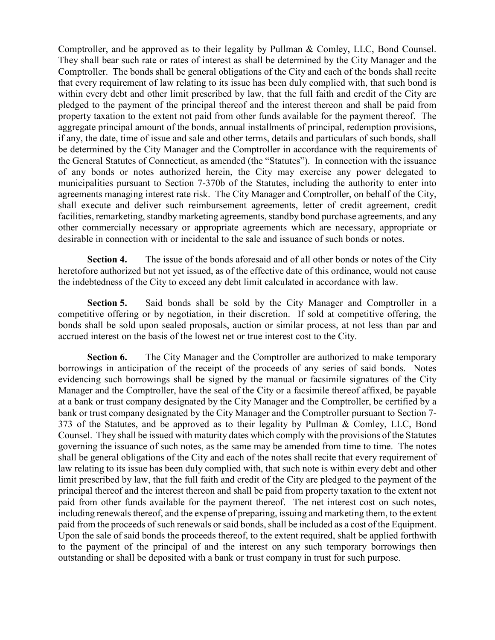Comptroller, and be approved as to their legality by Pullman & Comley, LLC, Bond Counsel. They shall bear such rate or rates of interest as shall be determined by the City Manager and the Comptroller. The bonds shall be general obligations of the City and each of the bonds shall recite that every requirement of law relating to its issue has been duly complied with, that such bond is within every debt and other limit prescribed by law, that the full faith and credit of the City are pledged to the payment of the principal thereof and the interest thereon and shall be paid from property taxation to the extent not paid from other funds available for the payment thereof. The aggregate principal amount of the bonds, annual installments of principal, redemption provisions, if any, the date, time of issue and sale and other terms, details and particulars of such bonds, shall be determined by the City Manager and the Comptroller in accordance with the requirements of the General Statutes of Connecticut, as amended (the "Statutes"). In connection with the issuance of any bonds or notes authorized herein, the City may exercise any power delegated to municipalities pursuant to Section 7-370b of the Statutes, including the authority to enter into agreements managing interest rate risk. The City Manager and Comptroller, on behalf of the City, shall execute and deliver such reimbursement agreements, letter of credit agreement, credit facilities, remarketing, standby marketing agreements, standby bond purchase agreements, and any other commercially necessary or appropriate agreements which are necessary, appropriate or desirable in connection with or incidental to the sale and issuance of such bonds or notes.

**Section 4.** The issue of the bonds aforesaid and of all other bonds or notes of the City heretofore authorized but not yet issued, as of the effective date of this ordinance, would not cause the indebtedness of the City to exceed any debt limit calculated in accordance with law.

**Section 5.** Said bonds shall be sold by the City Manager and Comptroller in a competitive offering or by negotiation, in their discretion. If sold at competitive offering, the bonds shall be sold upon sealed proposals, auction or similar process, at not less than par and accrued interest on the basis of the lowest net or true interest cost to the City.

**Section 6.** The City Manager and the Comptroller are authorized to make temporary borrowings in anticipation of the receipt of the proceeds of any series of said bonds. Notes evidencing such borrowings shall be signed by the manual or facsimile signatures of the City Manager and the Comptroller, have the seal of the City or a facsimile thereof affixed, be payable at a bank or trust company designated by the City Manager and the Comptroller, be certified by a bank or trust company designated by the City Manager and the Comptroller pursuant to Section 7- 373 of the Statutes, and be approved as to their legality by Pullman & Comley, LLC, Bond Counsel. They shall be issued with maturity dates which comply with the provisions of the Statutes governing the issuance of such notes, as the same may be amended from time to time. The notes shall be general obligations of the City and each of the notes shall recite that every requirement of law relating to its issue has been duly complied with, that such note is within every debt and other limit prescribed by law, that the full faith and credit of the City are pledged to the payment of the principal thereof and the interest thereon and shall be paid from property taxation to the extent not paid from other funds available for the payment thereof. The net interest cost on such notes, including renewals thereof, and the expense of preparing, issuing and marketing them, to the extent paid from the proceeds of such renewals or said bonds, shall be included as a cost of the Equipment. Upon the sale of said bonds the proceeds thereof, to the extent required, shalt be applied forthwith to the payment of the principal of and the interest on any such temporary borrowings then outstanding or shall be deposited with a bank or trust company in trust for such purpose.